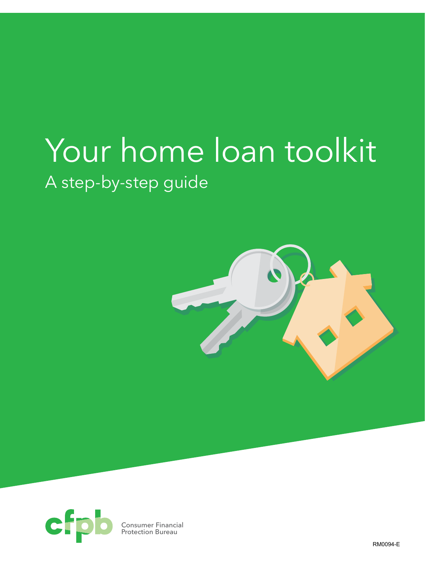# Your home loan toolkit A step-by-step guide





Consumer Financial Protection Bureau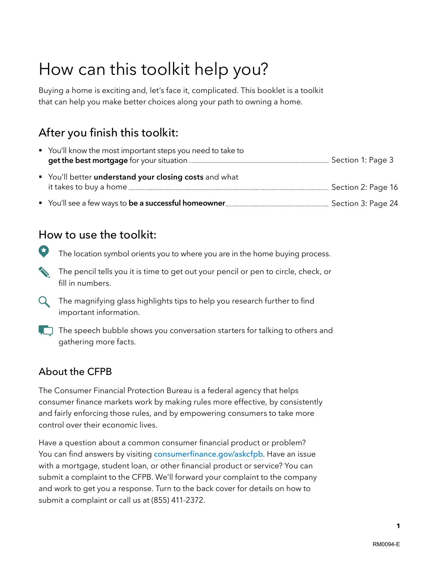# How can this toolkit help you?

Buying a home is exciting and, let's face it, complicated. This booklet is a toolkit that can help you make better choices along your path to owning a home.

# After you finish this toolkit:

| • You'll know the most important steps you need to take to |  |
|------------------------------------------------------------|--|
| You'll better understand your closing costs and what       |  |
|                                                            |  |

## How to use the toolkit:

The location symbol orients you to where you are in the home buying process.

- The pencil tells you it is time to get out your pencil or pen to circle, check, or fill in numbers.
- $Q$  The magnifying glass highlights tips to help you research further to find important information.
- $\Box$  The speech bubble shows you conversation starters for talking to others and gathering more facts.

## About the CFPB

The Consumer Financial Protection Bureau is a federal agency that helps consumer fnance markets work by making rules more effective, by consistently and fairly enforcing those rules, and by empowering consumers to take more control over their economic lives.

Have a question about a common consumer fnancial product or problem? You can find answers by visiting consumerfinance.gov/askcfpb. Have an issue with a mortgage, student loan, or other fnancial product or service? You can submit a complaint to the CFPB. We'll forward your complaint to the company and work to get you a response. Turn to the back cover for details on how to submit a complaint or call us at (855) 411-2372.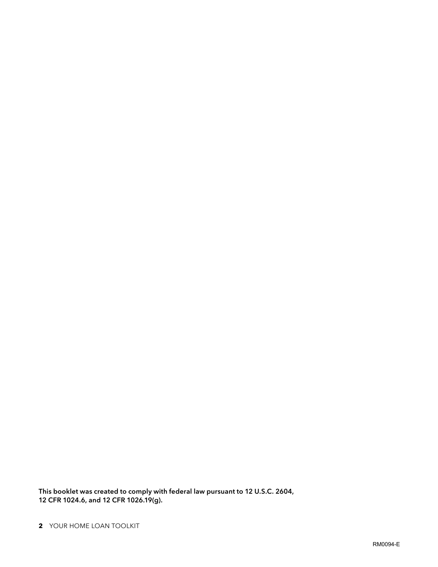**This booklet was created to comply with federal law pursuant to 12 U.S.C. 2604, 12 CFR 1024.6, and 12 CFR 1026.19(g).**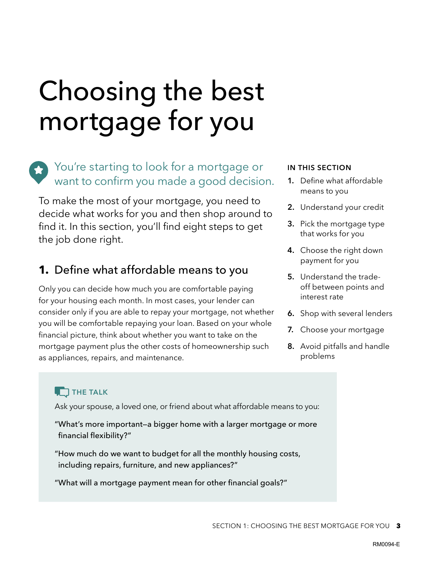# <span id="page-4-0"></span>Choosing the best mortgage for you

## You're starting to look for a mortgage or want to confirm you made a good decision.

To make the most of your mortgage, you need to decide what works for you and then shop around to find it. In this section, you'll find eight steps to get the job done right.

## **1.** Define what affordable means to you

Only you can decide how much you are comfortable paying for your housing each month. In most cases, your lender can consider only if you are able to repay your mortgage, not whether you will be comfortable repaying your loan. Based on your whole fnancial picture, think about whether you want to take on the mortgage payment plus the other costs of homeownership such as appliances, repairs, and maintenance.

#### **IN THIS SECTION**

- **1.** Define what affordable means to you
- **2.** Understand your credit
- **3.** Pick the mortgage type that works for you
- **4.** Choose the right down payment for you
- **5.** Understand the tradeoff between points and interest rate
- **6.** Shop with several lenders
- **7.** Choose your mortgage
- **8.** Avoid pitfalls and handle problems

## **THE TALK**

Ask your spouse, a loved one, or friend about what affordable means to you:

- "What's more important—a bigger home with a larger mortgage or more financial flexibility?"
- "How much do we want to budget for all the monthly housing costs, including repairs, furniture, and new appliances?"

"What will a mortgage payment mean for other fnancial goals?"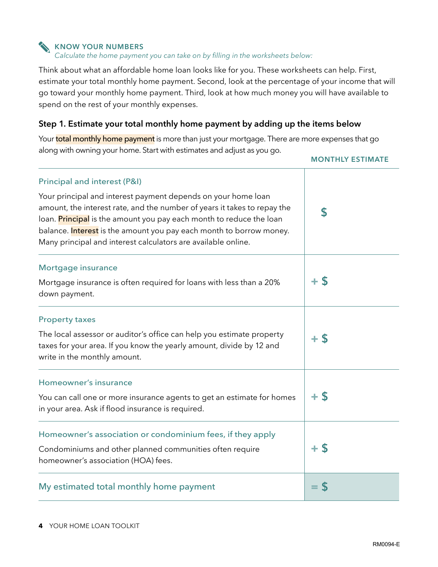**KNOW YOUR NUMBERS** 

*Calculate the home payment you can take on by flling in the worksheets below:*

Think about what an affordable home loan looks like for you. These worksheets can help. First, estimate your total monthly home payment. Second, look at the percentage of your income that will go toward your monthly home payment. Third, look at how much money you will have available to spend on the rest of your monthly expenses.

#### **Step 1. Estimate your total monthly home payment by adding up the items below**

Your total monthly home payment is more than just your mortgage. There are more expenses that go along with owning your home. Start with estimates and adjust as you go.

#### **MONTHLY ESTIMATE**

| Principal and interest (P&I)                                                                                                                                                                                                                                                                                                                                    |        |
|-----------------------------------------------------------------------------------------------------------------------------------------------------------------------------------------------------------------------------------------------------------------------------------------------------------------------------------------------------------------|--------|
| Your principal and interest payment depends on your home loan<br>amount, the interest rate, and the number of years it takes to repay the<br>loan. Principal is the amount you pay each month to reduce the loan<br>balance. <b>Interest</b> is the amount you pay each month to borrow money.<br>Many principal and interest calculators are available online. | \$     |
| Mortgage insurance                                                                                                                                                                                                                                                                                                                                              |        |
| Mortgage insurance is often required for loans with less than a 20%<br>down payment.                                                                                                                                                                                                                                                                            | $+$ \$ |
| <b>Property taxes</b>                                                                                                                                                                                                                                                                                                                                           |        |
| The local assessor or auditor's office can help you estimate property<br>taxes for your area. If you know the yearly amount, divide by 12 and<br>write in the monthly amount.                                                                                                                                                                                   | $+$ \$ |
| Homeowner's insurance                                                                                                                                                                                                                                                                                                                                           |        |
| You can call one or more insurance agents to get an estimate for homes<br>in your area. Ask if flood insurance is required.                                                                                                                                                                                                                                     | $+$ \$ |
| Homeowner's association or condominium fees, if they apply                                                                                                                                                                                                                                                                                                      |        |
| Condominiums and other planned communities often require<br>homeowner's association (HOA) fees.                                                                                                                                                                                                                                                                 | $+$ \$ |
| My estimated total monthly home payment                                                                                                                                                                                                                                                                                                                         | $=$ \$ |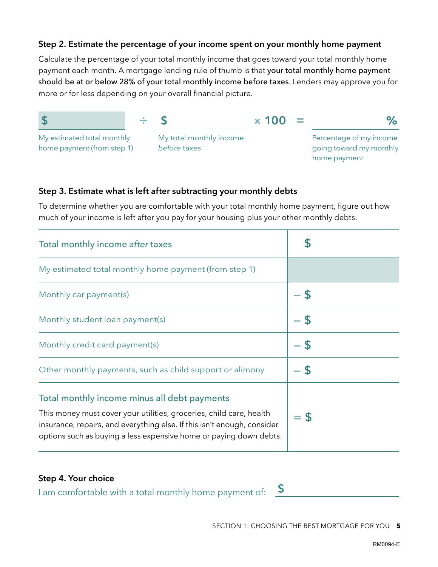### **Step 2. Estimate the percentage of your income spent on your monthly home payment**

Calculate the percentage of your total monthly income that goes toward your total monthly home payment each month. A mortgage lending rule of thumb is that your total monthly home payment should be at or below 28% of your total monthly income before taxes. Lenders may approve you for more or for less depending on your overall financial picture.

\$

My estimated total monthly home payment (from step 1)

Ö

 $\times$  100  $=$ 

 $\%$ 

My total monthly income *before* taxes

Percentage of my income going toward my monthly home payment

#### **Step 3. Estimate what is left after subtracting your monthly debts**

To determine whether you are comfortable with your total monthly home payment, fgure out how much of your income is left after you pay for your housing plus your other monthly debts.

| Total monthly income after taxes                                                                                                                                                                                                                                     |       |
|----------------------------------------------------------------------------------------------------------------------------------------------------------------------------------------------------------------------------------------------------------------------|-------|
| My estimated total monthly home payment (from step 1)                                                                                                                                                                                                                |       |
| Monthly car payment(s)                                                                                                                                                                                                                                               | — S   |
| Monthly student loan payment(s)                                                                                                                                                                                                                                      | S     |
| Monthly credit card payment(s)                                                                                                                                                                                                                                       |       |
| Other monthly payments, such as child support or alimony                                                                                                                                                                                                             | – S   |
| Total monthly income minus all debt payments<br>This money must cover your utilities, groceries, child care, health<br>insurance, repairs, and everything else. If this isn't enough, consider<br>options such as buying a less expensive home or paying down debts. | $=$ S |

## **Step 4. Your choice**

**\$** I am comfortable with a total monthly home payment of: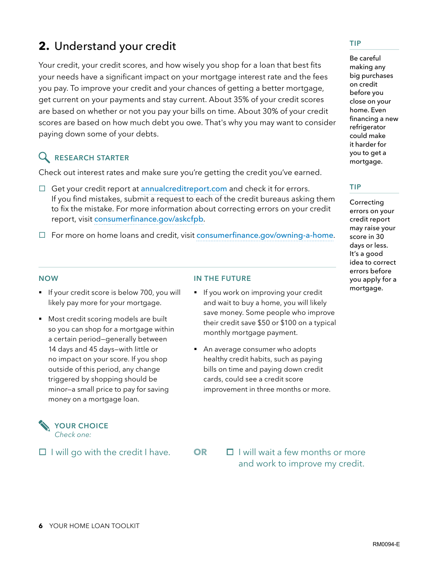# **2.** Understand your credit

Your credit, your credit scores, and how wisely you shop for a loan that best fts your needs have a signifcant impact on your mortgage interest rate and the fees you pay. To improve your credit and your chances of getting a better mortgage, get current on your payments and stay current. About 35% of your credit scores are based on whether or not you pay your bills on time. About 30% of your credit scores are based on how much debt you owe. That's why you may want to consider paying down some of your debts.

## **RESEARCH STARTER**

Check out interest rates and make sure you're getting the credit you've earned.

- $\Box$  Get your credit report at [annualcreditreport.com](https://www.annualcreditreport.com/index.action) and check it for errors. If you find mistakes, submit a request to each of the credit bureaus asking them to fix the mistake. For more information about correcting errors on your credit report, visit consumerfinance.gov/askcfpb.
- $\Box$  For more on home loans and credit, visit consumerfinance.gov/owning-a-home.

- **•** If your credit score is below 700, you will likely pay more for your mortgage.
- **•** Most credit scoring models are built so you can shop for a mortgage within a certain period—generally between 14 days and 45 days—with little or no impact on your score. If you shop outside of this period, any change triggered by shopping should be minor—a small price to pay for saving money on a mortgage loan.

#### **YOUR CHOICE**  *Check one:*

¨ I will go with the credit I have. **OR** ¨ I will wait a few months or more

**NOW IN THE FUTURE**

- If you work on improving your credit and wait to buy a home, you will likely save money. Some people who improve their credit save \$50 or \$100 on a typical monthly mortgage payment.
- An average consumer who adopts healthy credit habits, such as paying bills on time and paying down credit cards, could see a credit score improvement in three months or more.

and work to improve my credit.

**TIP**

Be careful making any big purchases on credit before you close on your home. Even financing a new refrigerator could make it harder for you to get a mortgage.

#### **TIP**

**Correcting** errors on your credit report may raise your score in 30 days or less. It's a good idea to correct errors before you apply for a mortgage.

**6** YOUR HOME LOAN TOOLKIT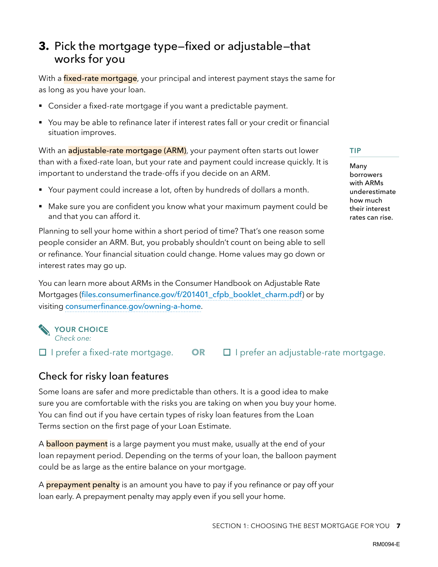## <span id="page-8-0"></span>**3.** Pick the mortgage type-fixed or adjustable-that works for you

With a **fixed-rate mortgage**, your principal and interest payment stays the same for as long as you have your loan.

- Consider a fixed-rate mortgage if you want a predictable payment.
- You may be able to refinance later if interest rates fall or your credit or financial situation improves.

With an **adjustable-rate mortgage (ARM)**, your payment often starts out lower than with a fxed-rate loan, but your rate and payment could increase quickly. It is important to understand the trade-offs if you decide on an ARM.

- Your payment could increase a lot, often by hundreds of dollars a month.
- § Make sure you are confdent you know what your maximum payment could be and that you can afford it.

Planning to sell your home within a short period of time? That's one reason some people consider an ARM. But, you probably shouldn't count on being able to sell or refnance. Your fnancial situation could change. Home values may go down or interest rates may go up.

You can learn more about ARMs in the Consumer Handbook on Adjustable Rate Mortgages (files.consumerfinance.gov/f/201401\_cfpb\_booklet\_charm.pdf) or by visiting consumerfinance.gov/owning-a-home.



□ I prefer a fixed-rate mortgage. **OR** □ I prefer an adjustable-rate mortgage.

## Check for risky loan features

Some loans are safer and more predictable than others. It is a good idea to make sure you are comfortable with the risks you are taking on when you buy your home. You can find out if you have certain types of risky loan features from the Loan Terms section on the first page of your Loan Estimate.

A **balloon payment** is a large payment you must make, usually at the end of your loan repayment period. Depending on the terms of your loan, the balloon payment could be as large as the entire balance on your mortgage.

A **prepayment penalty** is an amount you have to pay if you refinance or pay off your loan early. A prepayment penalty may apply even if you sell your home.

**TIP**

Many borrowers with ARMs underestimate how much their interest rates can rise.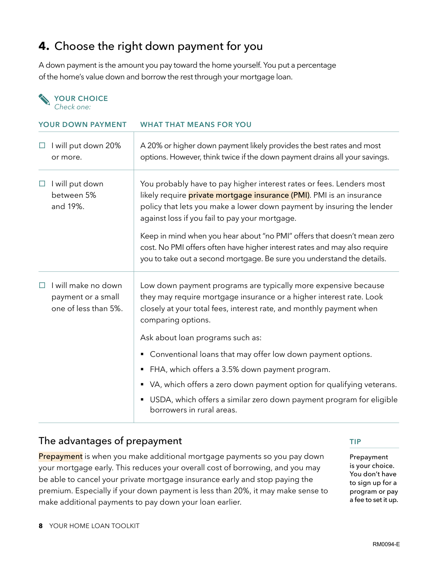# **4.** Choose the right down payment for you

A down payment is the amount you pay toward the home yourself. You put a percentage of the home's value down and borrow the rest through your mortgage loan.

#### **YOUR CHOICE**   $\blacklozenge$ *Check one:*

## **YOUR DOWN PAYMENT WHAT THAT MEANS FOR YOU**

| $\Box$ | I will put down 20%<br>or more.                                   | A 20% or higher down payment likely provides the best rates and most<br>options. However, think twice if the down payment drains all your savings.                                                                                                                              |
|--------|-------------------------------------------------------------------|---------------------------------------------------------------------------------------------------------------------------------------------------------------------------------------------------------------------------------------------------------------------------------|
| $\Box$ | I will put down<br>between 5%<br>and 19%.                         | You probably have to pay higher interest rates or fees. Lenders most<br>likely require <i>private mortgage insurance (PMI)</i> . PMI is an insurance<br>policy that lets you make a lower down payment by insuring the lender<br>against loss if you fail to pay your mortgage. |
|        |                                                                   | Keep in mind when you hear about "no PMI" offers that doesn't mean zero<br>cost. No PMI offers often have higher interest rates and may also require<br>you to take out a second mortgage. Be sure you understand the details.                                                  |
| □      | I will make no down<br>payment or a small<br>one of less than 5%. | Low down payment programs are typically more expensive because<br>they may require mortgage insurance or a higher interest rate. Look<br>closely at your total fees, interest rate, and monthly payment when<br>comparing options.                                              |
|        |                                                                   | Ask about loan programs such as:                                                                                                                                                                                                                                                |
|        |                                                                   | Conventional loans that may offer low down payment options.<br>٠                                                                                                                                                                                                                |
|        |                                                                   | FHA, which offers a 3.5% down payment program.<br>п                                                                                                                                                                                                                             |
|        |                                                                   | VA, which offers a zero down payment option for qualifying veterans.<br>٠                                                                                                                                                                                                       |
|        |                                                                   | USDA, which offers a similar zero down payment program for eligible<br>٠<br>borrowers in rural areas.                                                                                                                                                                           |

## The advantages of prepayment

Prepayment is when you make additional mortgage payments so you pay down your mortgage early. This reduces your overall cost of borrowing, and you may be able to cancel your private mortgage insurance early and stop paying the premium. Especially if your down payment is less than 20%, it may make sense to make additional payments to pay down your loan earlier.

**TIP**

Prepayment is your choice. You don't have to sign up for a program or pay a fee to set it up.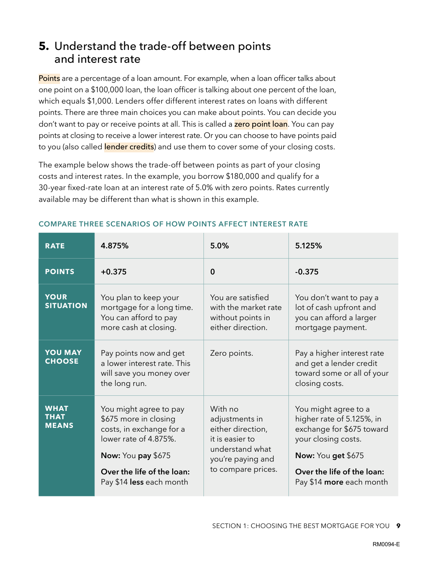## <span id="page-10-0"></span>**5.** Understand the trade-off between points and interest rate

Points are a percentage of a loan amount. For example, when a loan officer talks about one point on a \$100,000 loan, the loan officer is talking about one percent of the loan, which equals \$1,000. Lenders offer different interest rates on loans with different points. There are three main choices you can make about points. You can decide you don't want to pay or receive points at all. This is called a **zero point loan**. You can pay points at closing to receive a lower interest rate. Or you can choose to have points paid to you (also called *lender credits*) and use them to cover some of your closing costs.

The example below shows the trade-off between points as part of your closing costs and interest rates. In the example, you borrow \$180,000 and qualify for a 30-year fxed-rate loan at an interest rate of 5.0% with zero points. Rates currently available may be different than what is shown in this example.

| <b>RATE</b>                                | 4.875%                                                                                                                                                                               | 5.0%                                                                                                                            | 5.125%                                                                                                                                                                                |
|--------------------------------------------|--------------------------------------------------------------------------------------------------------------------------------------------------------------------------------------|---------------------------------------------------------------------------------------------------------------------------------|---------------------------------------------------------------------------------------------------------------------------------------------------------------------------------------|
| <b>POINTS</b>                              | $+0.375$                                                                                                                                                                             | $\bf{0}$                                                                                                                        | $-0.375$                                                                                                                                                                              |
| YOUR<br><b>SITUATION</b>                   | You plan to keep your<br>mortgage for a long time.<br>You can afford to pay<br>more cash at closing.                                                                                 | You are satisfied<br>with the market rate<br>without points in<br>either direction.                                             | You don't want to pay a<br>lot of cash upfront and<br>you can afford a larger<br>mortgage payment.                                                                                    |
| <b>YOU MAY</b><br><b>CHOOSE</b>            | Pay points now and get<br>a lower interest rate. This<br>will save you money over<br>the long run.                                                                                   | Zero points.                                                                                                                    | Pay a higher interest rate<br>and get a lender credit<br>toward some or all of your<br>closing costs.                                                                                 |
| <b>WHAT</b><br><b>THAT</b><br><b>MEANS</b> | You might agree to pay<br>\$675 more in closing<br>costs, in exchange for a<br>lower rate of 4.875%.<br>Now: You pay \$675<br>Over the life of the loan:<br>Pay \$14 less each month | With no<br>adjustments in<br>either direction,<br>it is easier to<br>understand what<br>you're paying and<br>to compare prices. | You might agree to a<br>higher rate of 5.125%, in<br>exchange for \$675 toward<br>your closing costs.<br>Now: You get \$675<br>Over the life of the loan:<br>Pay \$14 more each month |

#### **COMPARE THREE SCENARIOS OF HOW POINTS AFFECT INTEREST RATE**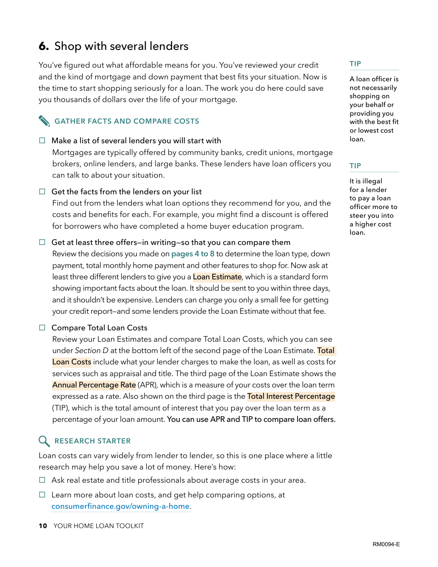## <span id="page-11-0"></span>**6.** Shop with several lenders

You've fgured out what affordable means for you. You've reviewed your credit and the kind of mortgage and down payment that best fits your situation. Now is the time to start shopping seriously for a loan. The work you do here could save you thousands of dollars over the life of your mortgage.

### **SATHER FACTS AND COMPARE COSTS**

#### $\Box$  Make a list of several lenders you will start with

Mortgages are typically offered by community banks, credit unions, mortgage brokers, online lenders, and large banks. These lenders have loan offcers you can talk to about your situation.

 $\Box$  Get the facts from the lenders on your list

Find out from the lenders what loan options they recommend for you, and the costs and benefts for each. For example, you might fnd a discount is offered for borrowers who have completed a home buyer education program.

#### $\Box$  Get at least three offers–in writing–so that you can compare them

Review the decisions you made on **pages 4 to 8** to determine the loan type, down payment, total monthly home payment and other features to shop for. Now ask at least three different lenders to give you a **Loan Estimate**, which is a standard form showing important facts about the loan. It should be sent to you within three days, and it shouldn't be expensive. Lenders can charge you only a small fee for getting your credit report—and some lenders provide the Loan Estimate without that fee.

#### $\Box$  Compare Total Loan Costs

 Review your Loan Estimates and compare Total Loan Costs, which you can see under *Section D* at the bottom left of the second page of the Loan Estimate. Total Loan Costs include what your lender charges to make the loan, as well as costs for services such as appraisal and title. The third page of the Loan Estimate shows the Annual Percentage Rate (APR), which is a measure of your costs over the loan term expressed as a rate. Also shown on the third page is the Total Interest Percentage (TIP), which is the total amount of interest that you pay over the loan term as a percentage of your loan amount. You can use APR and TIP to compare loan offers.

#### Q **RESEARCH STARTER**

Loan costs can vary widely from lender to lender, so this is one place where a little research may help you save a lot of money. Here's how:

- $\Box$  Ask real estate and title professionals about average costs in your area.
- $\Box$  Learn more about loan costs, and get help comparing options, at consumerfinance.gov/owning-a-home.
- **10** YOUR HOME LOAN TOOLKIT

#### **TIP**

A loan officer is not necessarily shopping on your behalf or providing you with the best fit or lowest cost loan.

#### **TIP**

It is illegal for a lender to pay a loan officer more to steer you into a higher cost loan.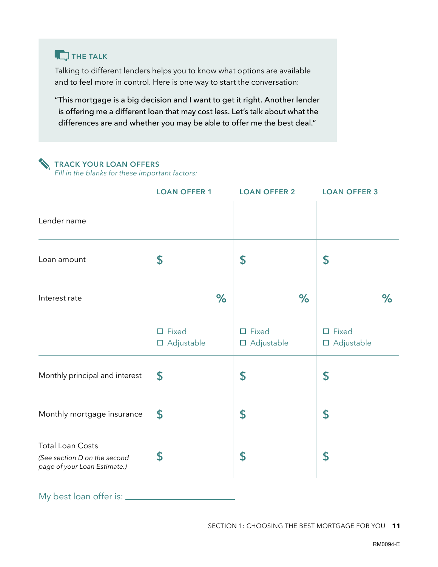## **THE TALK**

Talking to different lenders helps you to know what options are available and to feel more in control. Here is one way to start the conversation:

"This mortgage is a big decision and I want to get it right. Another lender is offering me a different loan that may cost less. Let's talk about what the differences are and whether you may be able to offer me the best deal."

### **TRACK YOUR LOAN OFFERS**

*Fill in the blanks for these important factors:*

|                                                                                         | <b>LOAN OFFER 1</b>                  | <b>LOAN OFFER 2</b>                  | <b>LOAN OFFER 3</b>                  |
|-----------------------------------------------------------------------------------------|--------------------------------------|--------------------------------------|--------------------------------------|
| Lender name                                                                             |                                      |                                      |                                      |
| Loan amount                                                                             | \$                                   | \$                                   | \$                                   |
| Interest rate                                                                           | %                                    | $\%$                                 | $\%$                                 |
|                                                                                         | $\square$ Fixed<br>$\Box$ Adjustable | $\square$ Fixed<br>$\Box$ Adjustable | $\square$ Fixed<br>$\Box$ Adjustable |
| Monthly principal and interest                                                          | \$                                   | \$                                   | \$                                   |
| Monthly mortgage insurance                                                              | \$                                   | \$                                   | \$                                   |
| <b>Total Loan Costs</b><br>(See section D on the second<br>page of your Loan Estimate.) | \$                                   | \$                                   | \$                                   |

My best loan offer is: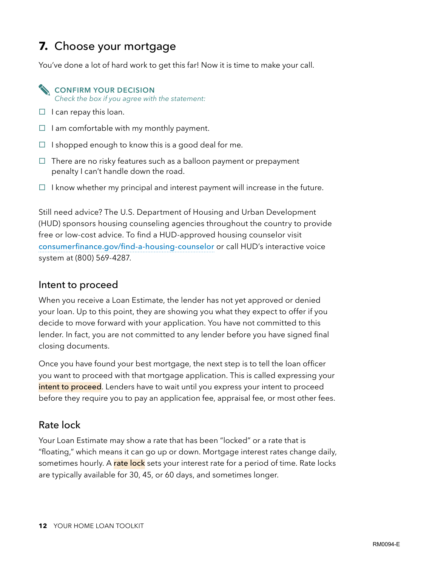# **7.** Choose your mortgage

You've done a lot of hard work to get this far! Now it is time to make your call.

### **CONFIRM YOUR DECISION**

*Check the box if you agree with the statement:* 

- $\Box$  I can repay this loan.
- $\Box$  I am comfortable with my monthly payment.
- $\Box$  I shopped enough to know this is a good deal for me.
- $\Box$  There are no risky features such as a balloon payment or prepayment penalty I can't handle down the road.
- $\Box$  I know whether my principal and interest payment will increase in the future.

Still need advice? The U.S. Department of Housing and Urban Development (HUD) sponsors housing counseling agencies throughout the country to provide free or low-cost advice. To find a HUD-approved housing counselor visit [consumerfnance.gov/fnd-a-housing-counselor](http://www.consumerfinance.gov/find-a-housing-counselor/?utm_source=online&utm_medium=booklet&utm_term=p_12_1&utm_campaign=Your_home_loan_toolkit) or call HUD's interactive voice system at (800) 569-4287.

#### Intent to proceed

When you receive a Loan Estimate, the lender has not yet approved or denied your loan. Up to this point, they are showing you what they expect to offer if you decide to move forward with your application. You have not committed to this lender. In fact, you are not committed to any lender before you have signed final closing documents.

Once you have found your best mortgage, the next step is to tell the loan officer you want to proceed with that mortgage application. This is called expressing your intent to proceed. Lenders have to wait until you express your intent to proceed before they require you to pay an application fee, appraisal fee, or most other fees.

#### Rate lock

Your Loan Estimate may show a rate that has been "locked" or a rate that is "foating," which means it can go up or down. Mortgage interest rates change daily, sometimes hourly. A rate lock sets your interest rate for a period of time. Rate locks are typically available for 30, 45, or 60 days, and sometimes longer.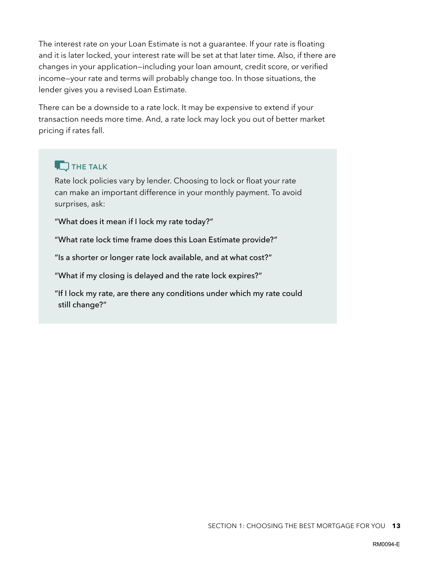The interest rate on your Loan Estimate is not a guarantee. If your rate is foating and it is later locked, your interest rate will be set at that later time. Also, if there are changes in your application—including your loan amount, credit score, or verifed income—your rate and terms will probably change too. In those situations, the lender gives you a revised Loan Estimate.

There can be a downside to a rate lock. It may be expensive to extend if your transaction needs more time. And, a rate lock may lock you out of better market pricing if rates fall.

## **THE TALK**

Rate lock policies vary by lender. Choosing to lock or float your rate can make an important difference in your monthly payment. To avoid surprises, ask:

"What does it mean if I lock my rate today?"

"What rate lock time frame does this Loan Estimate provide?"

"Is a shorter or longer rate lock available, and at what cost?"

"What if my closing is delayed and the rate lock expires?"

"If I lock my rate, are there any conditions under which my rate could still change?"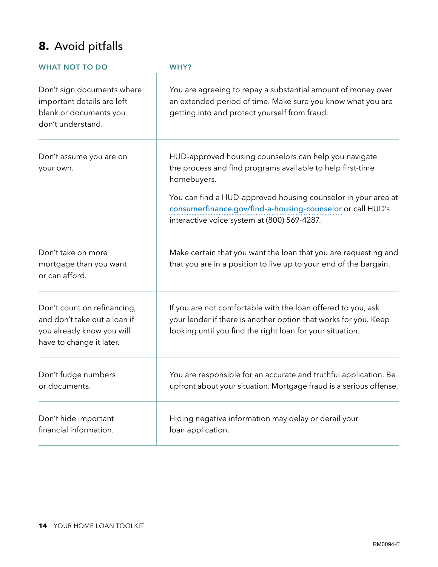# **8.** Avoid pitfalls

| <b>WHAT NOT TO DO</b>                                                                                                | WHY?                                                                                                                                                                                         |
|----------------------------------------------------------------------------------------------------------------------|----------------------------------------------------------------------------------------------------------------------------------------------------------------------------------------------|
| Don't sign documents where<br>important details are left<br>blank or documents you<br>don't understand.              | You are agreeing to repay a substantial amount of money over<br>an extended period of time. Make sure you know what you are<br>getting into and protect yourself from fraud.                 |
| Don't assume you are on<br>your own.                                                                                 | HUD-approved housing counselors can help you navigate<br>the process and find programs available to help first-time<br>homebuyers.                                                           |
|                                                                                                                      | You can find a HUD-approved housing counselor in your area at<br>consumerfinance.gov/find-a-housing-counselor or call HUD's<br>interactive voice system at (800) 569-4287.                   |
| Don't take on more<br>mortgage than you want<br>or can afford.                                                       | Make certain that you want the loan that you are requesting and<br>that you are in a position to live up to your end of the bargain.                                                         |
| Don't count on refinancing,<br>and don't take out a loan if<br>you already know you will<br>have to change it later. | If you are not comfortable with the loan offered to you, ask<br>your lender if there is another option that works for you. Keep<br>looking until you find the right loan for your situation. |
| Don't fudge numbers<br>or documents.                                                                                 | You are responsible for an accurate and truthful application. Be<br>upfront about your situation. Mortgage fraud is a serious offense.                                                       |
| Don't hide important<br>financial information.                                                                       | Hiding negative information may delay or derail your<br>loan application.                                                                                                                    |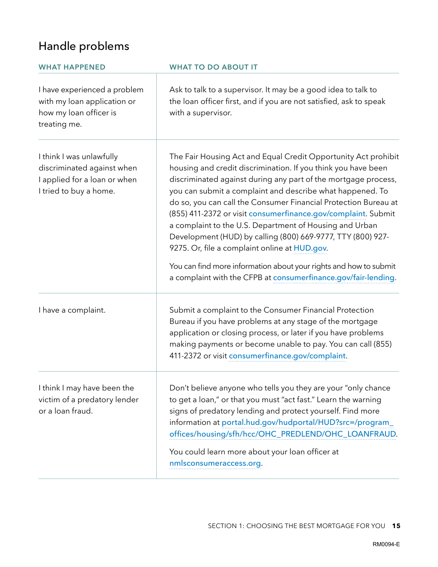# Handle problems

| <b>WHAT HAPPENED</b>                                                                                             | <b>WHAT TO DO ABOUT IT</b>                                                                                                                                                                                                                                                                                                                                                                                                                                                                                                                                                                                                                                                                                           |
|------------------------------------------------------------------------------------------------------------------|----------------------------------------------------------------------------------------------------------------------------------------------------------------------------------------------------------------------------------------------------------------------------------------------------------------------------------------------------------------------------------------------------------------------------------------------------------------------------------------------------------------------------------------------------------------------------------------------------------------------------------------------------------------------------------------------------------------------|
| I have experienced a problem<br>with my loan application or<br>how my loan officer is<br>treating me.            | Ask to talk to a supervisor. It may be a good idea to talk to<br>the loan officer first, and if you are not satisfied, ask to speak<br>with a supervisor.                                                                                                                                                                                                                                                                                                                                                                                                                                                                                                                                                            |
| I think I was unlawfully<br>discriminated against when<br>I applied for a loan or when<br>I tried to buy a home. | The Fair Housing Act and Equal Credit Opportunity Act prohibit<br>housing and credit discrimination. If you think you have been<br>discriminated against during any part of the mortgage process,<br>you can submit a complaint and describe what happened. To<br>do so, you can call the Consumer Financial Protection Bureau at<br>(855) 411-2372 or visit consumerfinance.gov/complaint. Submit<br>a complaint to the U.S. Department of Housing and Urban<br>Development (HUD) by calling (800) 669-9777, TTY (800) 927-<br>9275. Or, file a complaint online at HUD.gov.<br>You can find more information about your rights and how to submit<br>a complaint with the CFPB at consumerfinance.gov/fair-lending. |
| I have a complaint.                                                                                              | Submit a complaint to the Consumer Financial Protection<br>Bureau if you have problems at any stage of the mortgage<br>application or closing process, or later if you have problems<br>making payments or become unable to pay. You can call (855)<br>411-2372 or visit consumerfinance.gov/complaint.                                                                                                                                                                                                                                                                                                                                                                                                              |
| I think I may have been the<br>victim of a predatory lender<br>or a loan fraud.                                  | Don't believe anyone who tells you they are your "only chance<br>to get a loan," or that you must "act fast." Learn the warning<br>signs of predatory lending and protect yourself. Find more<br>information at portal.hud.gov/hudportal/HUD?src=/program_<br>offices/housing/sfh/hcc/OHC_PREDLEND/OHC_LOANFRAUD.<br>You could learn more about your loan officer at<br>nmlsconsumeraccess.org.                                                                                                                                                                                                                                                                                                                      |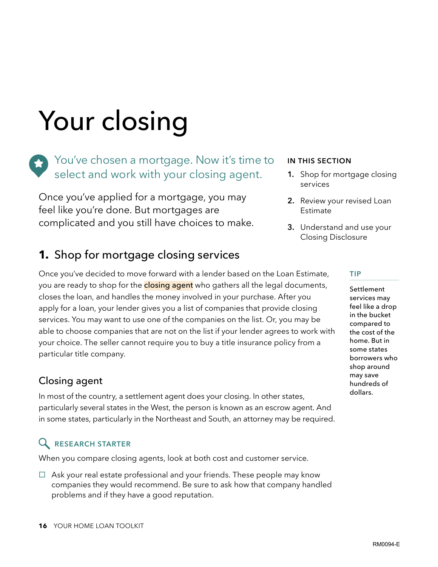# <span id="page-17-0"></span>Your closing

You've chosen a mortgage. Now it's time to select and work with your closing agent.

Once you've applied for a mortgage, you may feel like you're done. But mortgages are complicated and you still have choices to make.

## **1.** Shop for mortgage closing services

Once you've decided to move forward with a lender based on the Loan Estimate, you are ready to shop for the **closing agent** who gathers all the legal documents, closes the loan, and handles the money involved in your purchase. After you apply for a loan, your lender gives you a list of companies that provide closing services. You may want to use one of the companies on the list. Or, you may be able to choose companies that are not on the list if your lender agrees to work with your choice. The seller cannot require you to buy a title insurance policy from a particular title company.

## Closing agent

In most of the country, a settlement agent does your closing. In other states, particularly several states in the West, the person is known as an escrow agent. And in some states, particularly in the Northeast and South, an attorney may be required.

#### **RESEARCH STARTER** Q

When you compare closing agents, look at both cost and customer service.

 $\Box$  Ask your real estate professional and your friends. These people may know companies they would recommend. Be sure to ask how that company handled problems and if they have a good reputation.

#### **IN THIS SECTION**

- **1.** Shop for mortgage closing services
- **2.** Review your revised Loan Estimate
- **3.** Understand and use your Closing Disclosure

#### **TIP**

**Settlement** services may feel like a drop in the bucket compared to the cost of the home. But in some states borrowers who shop around may save hundreds of dollars.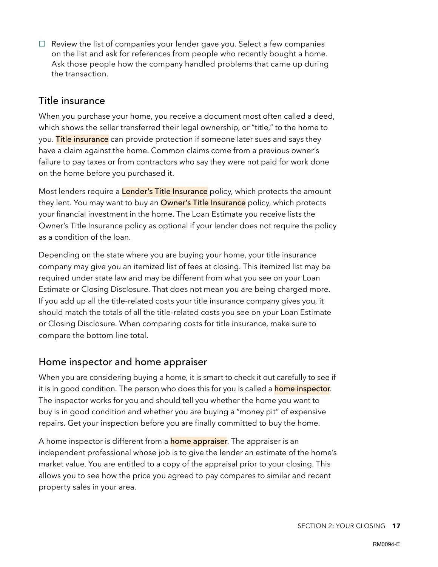$\Box$  Review the list of companies your lender gave you. Select a few companies on the list and ask for references from people who recently bought a home. Ask those people how the company handled problems that came up during the transaction.

## Title insurance

When you purchase your home, you receive a document most often called a deed, which shows the seller transferred their legal ownership, or "title," to the home to you. Title insurance can provide protection if someone later sues and says they have a claim against the home. Common claims come from a previous owner's failure to pay taxes or from contractors who say they were not paid for work done on the home before you purchased it.

Most lenders require a **Lender's Title Insurance** policy, which protects the amount they lent. You may want to buy an **Owner's Title Insurance** policy, which protects your fnancial investment in the home. The Loan Estimate you receive lists the Owner's Title Insurance policy as optional if your lender does not require the policy as a condition of the loan.

Depending on the state where you are buying your home, your title insurance company may give you an itemized list of fees at closing. This itemized list may be required under state law and may be different from what you see on your Loan Estimate or Closing Disclosure. That does not mean you are being charged more. If you add up all the title-related costs your title insurance company gives you, it should match the totals of all the title-related costs you see on your Loan Estimate or Closing Disclosure. When comparing costs for title insurance, make sure to compare the bottom line total.

## Home inspector and home appraiser

When you are considering buying a home, it is smart to check it out carefully to see if it is in good condition. The person who does this for you is called a **home inspector**. The inspector works for you and should tell you whether the home you want to buy is in good condition and whether you are buying a "money pit" of expensive repairs. Get your inspection before you are fnally committed to buy the home.

A home inspector is different from a **home appraiser**. The appraiser is an independent professional whose job is to give the lender an estimate of the home's market value. You are entitled to a copy of the appraisal prior to your closing. This allows you to see how the price you agreed to pay compares to similar and recent property sales in your area.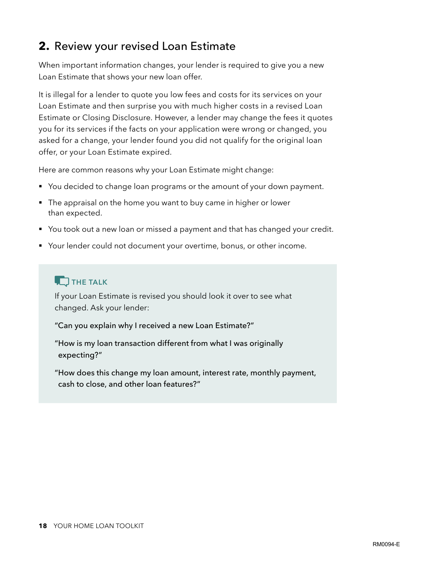## **2.** Review your revised Loan Estimate

When important information changes, your lender is required to give you a new Loan Estimate that shows your new loan offer.

It is illegal for a lender to quote you low fees and costs for its services on your Loan Estimate and then surprise you with much higher costs in a revised Loan Estimate or Closing Disclosure. However, a lender may change the fees it quotes you for its services if the facts on your application were wrong or changed, you asked for a change, your lender found you did not qualify for the original loan offer, or your Loan Estimate expired.

Here are common reasons why your Loan Estimate might change:

- You decided to change loan programs or the amount of your down payment.
- The appraisal on the home you want to buy came in higher or lower than expected.
- You took out a new loan or missed a payment and that has changed your credit.
- Your lender could not document your overtime, bonus, or other income.

## **THE TALK**

If your Loan Estimate is revised you should look it over to see what changed. Ask your lender:

"Can you explain why I received a new Loan Estimate?"

"How is my loan transaction different from what I was originally expecting?"

"How does this change my loan amount, interest rate, monthly payment, cash to close, and other loan features?"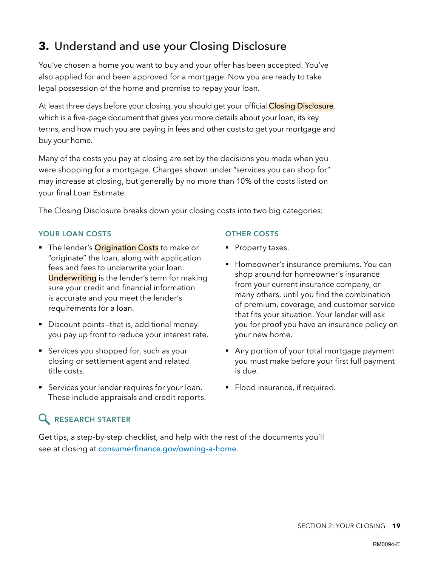# **3.** Understand and use your Closing Disclosure

You've chosen a home you want to buy and your offer has been accepted. You've also applied for and been approved for a mortgage. Now you are ready to take legal possession of the home and promise to repay your loan.

At least three days before your closing, you should get your official **Closing Disclosure**, which is a five-page document that gives you more details about your loan, its key terms, and how much you are paying in fees and other costs to get your mortgage and buy your home.

Many of the costs you pay at closing are set by the decisions you made when you were shopping for a mortgage. Charges shown under "services you can shop for" may increase at closing, but generally by no more than 10% of the costs listed on your final Loan Estimate.

The Closing Disclosure breaks down your closing costs into two big categories:

#### **YOUR LOAN COSTS OTHER COSTS**

- **F** The lender's **Origination Costs** to make or "originate" the loan, along with application fees and fees to underwrite your loan. Underwriting is the lender's term for making sure your credit and financial information is accurate and you meet the lender's requirements for a loan.
- Discount points-that is, additional money you pay up front to reduce your interest rate.
- Services you shopped for, such as your closing or settlement agent and related title costs.
- Services your lender requires for your loan. These include appraisals and credit reports.

- Property taxes.
- Homeowner's insurance premiums. You can shop around for homeowner's insurance from your current insurance company, or many others, until you find the combination of premium, coverage, and customer service that fits your situation. Your lender will ask you for proof you have an insurance policy on your new home.
- Any portion of your total mortgage payment you must make before your first full payment is due.
- Flood insurance, if required.

## **RESEARCH STARTER**

Get tips, a step-by-step checklist, and help with the rest of the documents you'll see at closing at consumerfinance.gov/owning-a-home.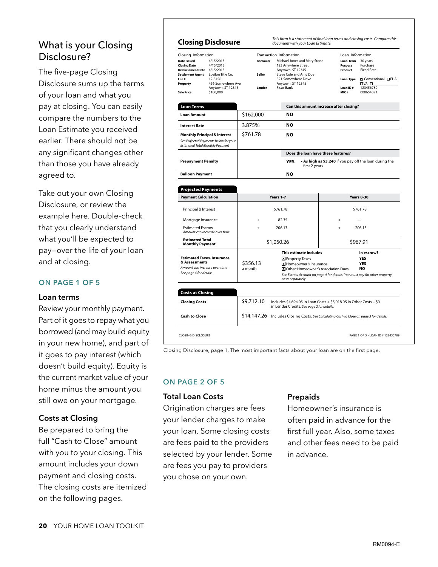## What is your Closing Disclosure?

The five-page Closing Disclosure sums up the terms of your loan and what you pay at closing. You can easily compare the numbers to the Loan Estimate you received earlier. There should not be any significant changes other than those you have already agreed to.

Take out your own Closing Disclosure, or review the example here. Double-check that you clearly understand what you'll be expected to pay—over the life of your loan and at closing.

#### **ON PAGE 1 OF 5**

#### **Loan terms**

Review your monthly payment. Part of it goes to repay what you borrowed (and may build equity in your new home), and part of it goes to pay interest (which doesn't build equity). Equity is the current market value of your home minus the amount you still owe on your mortgage.

#### **Costs at Closing**

Be prepared to bring the full "Cash to Close" amount with you to your closing. This amount includes your down payment and closing costs. The closing costs are itemized on the following pages.

### *This form is a statement of* f*nal loan terms and closing costs. Compare this* **Closing Disclosure** *document with your Loan Estimate.*

Closing Information **Date Issued**  $4/15/2013$ <br>**Closing Date**  $4/15/2013$ **Closing Date** 4/15/2013 **Disbursement Date** 4/15/2013 **Settlement Agent** Epsilon Title Co.<br>File # 12-3456 **File #** 12-3456 **Property** 456 Somewhere Ave Anytown, ST 12345 **Sale Price** \$180,000

Transaction Information **Borrower** Michael Jones and Mary Stone 123 Anywhere Street Anytown, ST 12345 **Seller** Steve Cole and Amy Doe 321 Somewhere Drive Anytown, ST 12345 **Lender** Ficus Bank

Loan Information **Loan Term** 30 years<br>**Purpose** Purchase Purpose<br>Product

**Product** Fixed Rate **Loan Type Z** Conventional **CIFHA**  $\Box$ VA  $\Box$ **Loan ID #** 123456789

**MIC #** 000654321

| <b>Loan Terms</b>                                                                                                          |                     |                                                                                                                                                   | Can this amount increase after closing?                                                                                    |  |
|----------------------------------------------------------------------------------------------------------------------------|---------------------|---------------------------------------------------------------------------------------------------------------------------------------------------|----------------------------------------------------------------------------------------------------------------------------|--|
| <b>Loan Amount</b>                                                                                                         | \$162,000           | NO                                                                                                                                                |                                                                                                                            |  |
| <b>Interest Rate</b>                                                                                                       | 3.875%              | <b>NO</b>                                                                                                                                         |                                                                                                                            |  |
| <b>Monthly Principal &amp; Interest</b><br>See Projected Payments below for your<br><b>Estimated Total Monthly Payment</b> | \$761.78            | NΟ                                                                                                                                                |                                                                                                                            |  |
| <b>Prepayment Penalty</b>                                                                                                  |                     | YES.<br>first 2 years                                                                                                                             | Does the loan have these features?<br>. As high as \$3,240 if you pay off the loan during the                              |  |
| <b>Balloon Payment</b>                                                                                                     |                     | <b>NO</b>                                                                                                                                         |                                                                                                                            |  |
| <b>Projected Payments</b>                                                                                                  |                     |                                                                                                                                                   |                                                                                                                            |  |
| <b>Payment Calculation</b>                                                                                                 |                     | Years 1-7                                                                                                                                         | <b>Years 8-30</b>                                                                                                          |  |
| Principal & Interest                                                                                                       |                     | \$761.78                                                                                                                                          | \$761.78                                                                                                                   |  |
| Mortgage Insurance                                                                                                         | $\ddot{}$           | 82.35                                                                                                                                             | $\ddot{}$                                                                                                                  |  |
| <b>Estimated Escrow</b><br>Amount can increase over time                                                                   | $\ddot{}$           | 206.13                                                                                                                                            | 206.13<br>$\ddot{}$                                                                                                        |  |
| <b>Estimated Total</b><br><b>Monthly Payment</b>                                                                           |                     | \$1,050.26                                                                                                                                        | \$967.91                                                                                                                   |  |
| <b>Estimated Taxes, Insurance</b><br>& Assessments<br>Amount can increase over time<br>See page 4 for details              | \$356.13<br>a month | This estimate includes<br><b>X</b> Property Taxes<br><b>X</b> Homeowner's Insurance<br>X Other: Homeowner's Association Dues<br>costs separately. | In escrow?<br><b>YFS</b><br><b>YES</b><br>NO.<br>See Escrow Account on page 4 for details. You must pay for other property |  |
| <b>Costs at Closing</b>                                                                                                    |                     |                                                                                                                                                   |                                                                                                                            |  |
| <b>Closing Costs</b>                                                                                                       | \$9,712.10          | in Lender Credits. See page 2 for details.                                                                                                        | Includes \$4,694.05 in Loan Costs + \$5,018.05 in Other Costs - \$0                                                        |  |
|                                                                                                                            |                     | \$14,147.26<br>Includes Closing Costs. See Calculating Cash to Close on page 3 for details.                                                       |                                                                                                                            |  |

CLOSING DISCLOSURE PAGE 1 OF 5 • LOAN ID # 123456789

Closing Disclosure, page 1. The most important facts about your loan are on the first page.

#### **ON PAGE 2 OF 5**

#### **Total Loan Costs**

Origination charges are fees your lender charges to make your loan. Some closing costs are fees paid to the providers selected by your lender. Some are fees you pay to providers you chose on your own.

#### **Prepaids**

Homeowner's insurance is often paid in advance for the first full year. Also, some taxes and other fees need to be paid in advance.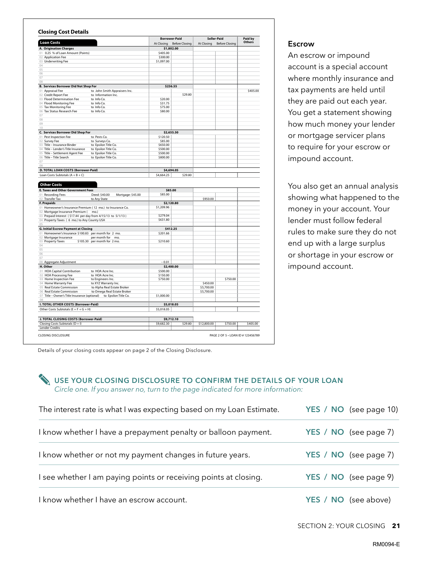|                                                                                                                                                                                                                                                                                                                                            |                                              | <b>Borrower-Paid</b>     |                       | Seller-Paid       |                       | Paid by  |
|--------------------------------------------------------------------------------------------------------------------------------------------------------------------------------------------------------------------------------------------------------------------------------------------------------------------------------------------|----------------------------------------------|--------------------------|-----------------------|-------------------|-----------------------|----------|
| <b>Loan Costs</b>                                                                                                                                                                                                                                                                                                                          |                                              | At Closing               | <b>Before Closing</b> | <b>At Closing</b> | <b>Before Closing</b> | Others   |
| <b>A. Origination Charges</b>                                                                                                                                                                                                                                                                                                              |                                              | \$1,802.00               |                       |                   |                       |          |
| 01 0.25 % of Loan Amount (Points)                                                                                                                                                                                                                                                                                                          |                                              | \$405.00                 |                       |                   |                       |          |
| 02 Application Fee                                                                                                                                                                                                                                                                                                                         |                                              | \$300.00                 |                       |                   |                       |          |
| 03 Underwriting Fee                                                                                                                                                                                                                                                                                                                        |                                              | \$1,097.00               |                       |                   |                       |          |
| 04<br>05                                                                                                                                                                                                                                                                                                                                   |                                              |                          |                       |                   |                       |          |
| 06                                                                                                                                                                                                                                                                                                                                         |                                              |                          |                       |                   |                       |          |
| 07                                                                                                                                                                                                                                                                                                                                         |                                              |                          |                       |                   |                       |          |
| 08                                                                                                                                                                                                                                                                                                                                         |                                              |                          |                       |                   |                       |          |
| <b>B. Services Borrower Did Not Shop For</b>                                                                                                                                                                                                                                                                                               |                                              | \$236.55                 |                       |                   |                       |          |
| 01 Appraisal Fee                                                                                                                                                                                                                                                                                                                           | to John Smith Appraisers Inc.                |                          |                       |                   |                       | \$405.00 |
| 02 Credit Report Fee                                                                                                                                                                                                                                                                                                                       | to Information Inc.                          |                          | \$29.80               |                   |                       |          |
| 03 Flood Determination Fee                                                                                                                                                                                                                                                                                                                 | to Info Co.                                  | \$20.00                  |                       |                   |                       |          |
| 04 Flood Monitoring Fee<br>05 Tax Monitoring Fee                                                                                                                                                                                                                                                                                           | to Info Co.<br>to Info Co.                   | \$31.75<br>\$75.00       |                       |                   |                       |          |
| 06 Tax Status Research Fee                                                                                                                                                                                                                                                                                                                 | to Info Co.                                  | \$80.00                  |                       |                   |                       |          |
| 07                                                                                                                                                                                                                                                                                                                                         |                                              |                          |                       |                   |                       |          |
| 08                                                                                                                                                                                                                                                                                                                                         |                                              |                          |                       |                   |                       |          |
| 09                                                                                                                                                                                                                                                                                                                                         |                                              |                          |                       |                   |                       |          |
| 10                                                                                                                                                                                                                                                                                                                                         |                                              |                          |                       |                   |                       |          |
| C. Services Borrower Did Shop For                                                                                                                                                                                                                                                                                                          |                                              | \$2,655.50               |                       |                   |                       |          |
| 01 Pest Inspection Fee                                                                                                                                                                                                                                                                                                                     | to Pests Co.                                 | \$120.50                 |                       |                   |                       |          |
| 02 Survey Fee                                                                                                                                                                                                                                                                                                                              | to Surveys Co.                               | \$85.00                  |                       |                   |                       |          |
| 03 Title - Insurance Binder                                                                                                                                                                                                                                                                                                                | to Epsilon Title Co.                         | \$650.00                 |                       |                   |                       |          |
| 04 Title - Lender's Title Insurance<br>05 Title - Settlement Agent Fee                                                                                                                                                                                                                                                                     | to Epsilon Title Co.<br>to Epsilon Title Co. | \$500.00<br>\$500.00     |                       |                   |                       |          |
| 06 Title - Title Search                                                                                                                                                                                                                                                                                                                    | to Epsilon Title Co.                         | \$800.00                 |                       |                   |                       |          |
| 07                                                                                                                                                                                                                                                                                                                                         |                                              |                          |                       |                   |                       |          |
| O <sub>R</sub>                                                                                                                                                                                                                                                                                                                             |                                              |                          |                       |                   |                       |          |
| D. TOTAL LOAN COSTS (Borrower-Paid)                                                                                                                                                                                                                                                                                                        |                                              | \$4,694.05               |                       |                   |                       |          |
| Loan Costs Subtotals $(A + B + C)$                                                                                                                                                                                                                                                                                                         |                                              | \$4,664.25               | \$29.80               |                   |                       |          |
|                                                                                                                                                                                                                                                                                                                                            |                                              |                          |                       |                   |                       |          |
| <b>Other Costs</b>                                                                                                                                                                                                                                                                                                                         |                                              |                          |                       |                   |                       |          |
| <b>E. Taxes and Other Government Fees</b>                                                                                                                                                                                                                                                                                                  |                                              | \$85.00                  |                       |                   |                       |          |
| 01 Recording Fees                                                                                                                                                                                                                                                                                                                          | Deed: \$40.00<br>Mortgage: \$45.00           | \$85.00                  |                       |                   |                       |          |
| 02 Transfer Tax                                                                                                                                                                                                                                                                                                                            | to Any State                                 |                          |                       | \$950.00          |                       |          |
| F. Prepaids                                                                                                                                                                                                                                                                                                                                |                                              | \$2,120.80               |                       |                   |                       |          |
|                                                                                                                                                                                                                                                                                                                                            |                                              |                          |                       |                   |                       |          |
|                                                                                                                                                                                                                                                                                                                                            |                                              | \$1,209.96               |                       |                   |                       |          |
|                                                                                                                                                                                                                                                                                                                                            |                                              |                          |                       |                   |                       |          |
|                                                                                                                                                                                                                                                                                                                                            |                                              | \$279.04                 |                       |                   |                       |          |
|                                                                                                                                                                                                                                                                                                                                            |                                              | \$631.80                 |                       |                   |                       |          |
|                                                                                                                                                                                                                                                                                                                                            |                                              |                          |                       |                   |                       |          |
|                                                                                                                                                                                                                                                                                                                                            |                                              | \$412.25                 |                       |                   |                       |          |
| 01 Homeowner's Insurance Premium (12 mo.) to Insurance Co.<br>02 Mortgage Insurance Premium (mo.)<br>03 Prepaid Interest (\$17.44 per day from 4/15/13 to 5/1/13)<br>04 Property Taxes (6 mo.) to Any County USA<br>O <sup>o</sup><br><b>G. Initial Escrow Payment at Closing</b><br>01 Homeowner's Insurance \$100.83 per month for 2 mo. |                                              | \$201.66                 |                       |                   |                       |          |
|                                                                                                                                                                                                                                                                                                                                            | per month for mo.                            |                          |                       |                   |                       |          |
| 02 Mortgage Insurance<br>03 Property Taxes                                                                                                                                                                                                                                                                                                 | \$105.30 per month for 2 mo.                 | \$210.60                 |                       |                   |                       |          |
|                                                                                                                                                                                                                                                                                                                                            |                                              |                          |                       |                   |                       |          |
|                                                                                                                                                                                                                                                                                                                                            |                                              |                          |                       |                   |                       |          |
|                                                                                                                                                                                                                                                                                                                                            |                                              |                          |                       |                   |                       |          |
|                                                                                                                                                                                                                                                                                                                                            |                                              | $-0.01$                  |                       |                   |                       |          |
|                                                                                                                                                                                                                                                                                                                                            |                                              | \$2,400.00               |                       |                   |                       |          |
| 04<br>05<br>06<br>07<br>08 Aggregate Adjustment<br>H. Other<br>01 HOA Capital Contribution                                                                                                                                                                                                                                                 | to HOA Acre Inc.                             | \$500.00                 |                       |                   |                       |          |
|                                                                                                                                                                                                                                                                                                                                            | to HOA Acre Inc.                             | \$150.00                 |                       |                   |                       |          |
|                                                                                                                                                                                                                                                                                                                                            | to Engineers Inc.                            | \$750.00                 |                       |                   | \$750.00              |          |
|                                                                                                                                                                                                                                                                                                                                            | to XYZ Warranty Inc.                         |                          |                       | \$450.00          |                       |          |
|                                                                                                                                                                                                                                                                                                                                            | to Alpha Real Estate Broker                  |                          |                       | \$5,700.00        |                       |          |
|                                                                                                                                                                                                                                                                                                                                            | to Omega Real Estate Broker                  |                          |                       | \$5,700.00        |                       |          |
|                                                                                                                                                                                                                                                                                                                                            |                                              | \$1,000.00               |                       |                   |                       |          |
| 02 HOA Processing Fee<br>03 Home Inspection Fee<br>04 Home Warranty Fee<br>05 Real Estate Commission<br>06 Real Estate Commission<br>07 Title - Owner's Title Insurance (optional) to Epsilon Title Co.<br>08<br>I. TOTAL OTHER COSTS (Borrower-Paid)                                                                                      |                                              | \$5,018.05               |                       |                   |                       |          |
| Other Costs Subtotals (E + F + G + H)                                                                                                                                                                                                                                                                                                      |                                              | \$5,018.05               |                       |                   |                       |          |
|                                                                                                                                                                                                                                                                                                                                            |                                              |                          |                       |                   |                       |          |
| J. TOTAL CLOSING COSTS (Borrower-Paid)<br>Closing Costs Subtotals (D + I)                                                                                                                                                                                                                                                                  |                                              | \$9,712.10<br>\$9,682.30 | \$29.80               | \$12,800.00       | \$750.00              | \$405.00 |

#### **Escrow**

An escrow or impound account is a special account where monthly insurance and tax payments are held until they are paid out each year. You get a statement showing how much money your lender or mortgage servicer plans to require for your escrow or impound account.

You also get an annual analysis showing what happened to the money in your account. Your lender must follow federal rules to make sure they do not end up with a large surplus or shortage in your escrow or impound account.

Details of your closing costs appear on page 2 of the Closing Disclosure.

## USE YOUR CLOSING DISCLOSURE TO CONFIRM THE DETAILS OF YOUR LOAN

*Circle one. If you answer no, turn to the page indicated for more information:*

| The interest rate is what I was expecting based on my Loan Estimate. | YES / NO (see page 10)              |
|----------------------------------------------------------------------|-------------------------------------|
| I know whether I have a prepayment penalty or balloon payment.       | <b>YES</b> / <b>NO</b> (see page 7) |
| I know whether or not my payment changes in future years.            | YES / NO (see page 7)               |
| I see whether I am paying points or receiving points at closing.     | YES / $NO$ (see page 9)             |
| I know whether I have an escrow account.                             | <b>YES</b> / <b>NO</b> (see above)  |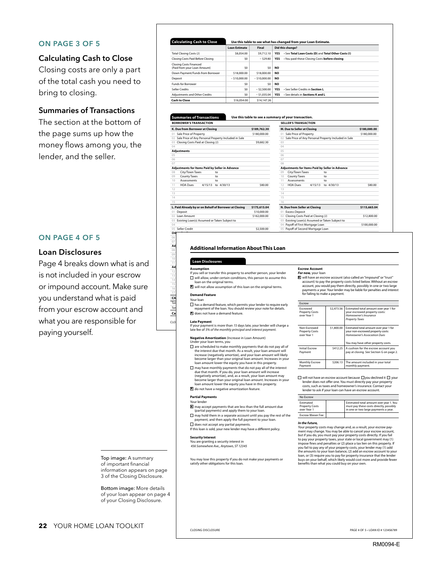#### **[Use this table to see what has changed from your Loan Estimate.](http://files.consumerfinance.gov/f/201311_cfpb_kbyo_closing-disclosure.pdf#page=3) ON PAGE 3 OF 5**

#### **Calculating Cash to Close**

Closing costs are only a part of the total cash you need to bring to closing.

#### **Summaries of Transactions**

The section at the bottom of the page sums up how the money flows among you, the lender, and the seller.

#### **ON PAGE 4 OF 5**

#### **Loan Disclosures**

Page 4 breaks down what is and is not included in your escrow or impound account. Make sure you understand what is paid from your escrow account and what you are responsible for paying yourself.

> Top image: A summary of important fnancial information appears on page 3 of the Closing Disclosure.

Bottom image: More details of your loan appear on page 4 of your Closing Disclosure.

| <b>Calculating Cash to Close</b>                       | Use this table to see what has changed from your Loan Estimate. |                 |            |                                                      |  |
|--------------------------------------------------------|-----------------------------------------------------------------|-----------------|------------|------------------------------------------------------|--|
|                                                        | <b>Loan Estimate</b>                                            | Final           |            | Did this change?                                     |  |
| Total Closing Costs (J)                                | \$8,054.00                                                      | \$9,712.10      | <b>YES</b> | • See Total Loan Costs (D) and Total Other Costs (I) |  |
| Closing Costs Paid Before Closing                      | \$0                                                             | $-$ \$29.80     | YES        | . You paid these Closing Costs before closing        |  |
| Closing Costs Financed<br>(Paid from your Loan Amount) | \$0                                                             | \$0             | <b>NO</b>  |                                                      |  |
| Down Payment/Funds from Borrower                       | \$18,000,00                                                     | \$18,000,00     | <b>NO</b>  |                                                      |  |
| Deposit                                                | $-510,000,00$                                                   | $-$ \$10,000,00 | <b>NO</b>  |                                                      |  |
| <b>Funds for Borrower</b>                              | \$0                                                             | \$0             | <b>NO</b>  |                                                      |  |
| Seller Credits                                         | \$0                                                             | $-$ \$2.500.00  | <b>YES</b> | . See Seller Credits in Section L                    |  |
| Adiustments and Other Credits                          | \$0                                                             | $- $1.035.04$   | YES        | . See details in Sections K and L                    |  |
| <b>Cash to Close</b>                                   | \$16,054.00                                                     | \$14,147.26     |            |                                                      |  |

| <b>Summaries of Transactions</b>                        |              | Use this table to see a summary of your transaction.   |              |  |  |
|---------------------------------------------------------|--------------|--------------------------------------------------------|--------------|--|--|
| <b>BORROWER'S TRANSACTION</b>                           |              | <b>SELLER'S TRANSACTION</b>                            |              |  |  |
| K. Due from Borrower at Closing                         | \$189,762.30 | <b>M. Due to Seller at Closing</b>                     | \$180,080.00 |  |  |
| Sale Price of Property<br>01                            | \$180,000,00 | Sale Price of Property<br>01                           | \$180,000,00 |  |  |
| 02 Sale Price of Any Personal Property Included in Sale |              | Sale Price of Any Personal Property Included in Sale   |              |  |  |
| 03 Closing Costs Paid at Closing (J)                    | \$9,682.30   | 03                                                     |              |  |  |
| 04                                                      |              | 04                                                     |              |  |  |
| <b>Adjustments</b>                                      |              | 05                                                     |              |  |  |
| 05                                                      |              | 06                                                     |              |  |  |
| $06 -$                                                  |              | 07                                                     |              |  |  |
| 07                                                      |              | 08                                                     |              |  |  |
| <b>Adjustments for Items Paid by Seller in Advance</b>  |              | <b>Adiustments for Items Paid by Seller in Advance</b> |              |  |  |
| City/Town Taxes<br>08<br>to                             |              | City/Town Taxes<br>09<br>tο                            |              |  |  |
| <b>County Taxes</b><br>09<br>to                         |              | <b>County Taxes</b><br>10<br>to                        |              |  |  |
| 10<br>Assessments<br>to                                 |              | Assessments<br>11<br>to                                |              |  |  |
| 4/15/13<br>to 4/30/13<br><b>HOA Dues</b><br>11          | \$80.00      | <b>HOA Dues</b><br>4/15/13<br>to 4/30/13<br>12         | \$80,00      |  |  |
| 12                                                      |              | 13                                                     |              |  |  |
| 13                                                      |              | 14                                                     |              |  |  |
| 14                                                      |              | 15                                                     |              |  |  |
| 15                                                      |              | 16                                                     |              |  |  |
| L. Paid Already by or on Behalf of Borrower at Closing  | \$175,615.04 | N. Due from Seller at Closing                          | \$115,665.04 |  |  |
| Deposit<br>01                                           | \$10,000,00  | <b>Excess Deposit</b><br>01                            |              |  |  |
| 02 Loan Amount                                          | \$162,000.00 | 02 Closing Costs Paid at Closing (J)                   | \$12,800.00  |  |  |
| Existing Loan(s) Assumed or Taken Subject to<br>03      |              | Existing Loan(s) Assumed or Taken Subject to<br>03     |              |  |  |
| 04                                                      |              | 04 Payoff of First Mortgage Loan                       | \$100,000,00 |  |  |
| 05 Seller Credit                                        | \$2,500.00   | Pavoff of Second Mortgage Loan<br>$05 -$               |              |  |  |

05 Seller Credit \$2,500.00 06 Rebate from Epsilon Title Co. \$750.000 Repairs From Epsilon Title Co. \$750.000 Repairs From Epsilon Title Co

## 09 10 **Additional Information About This Loan**

## 07<br> **Adj**<br>
08<br>
09<br>
10<br>
11<br>
11 **Loan Disclosures**

**Other Credits** 

- **Adjustments for Items Unpaid by Seller Assumption**  $\frac{12}{12}$  If you sell or transfer this property to another person, your lender
- $\frac{13}{14}$   $\Box$  will allow, under certain conditions, this person to assume this  $\frac{14}{15}$ will allow, under certain conditions, this person to assume this loan on the original terms.
- 15<br>
16<br> **CA**<br> **CA x** will not allow assumption of this loan on the original terms.

#### **Demand Feature** Your loan

 $\frac{\text{Tot}}{\text{Tot}}$  has a demand feature, which permits your lender to require early repayment of the loan. You should review your note for details. **Cash EX** does not have a demand feature.

#### **Late Payment**

CLO **Late Payment**<br>If your payment is more than *15* days late, your lender will charge a **representation of the state of the state of the monthly principal and interest payment.<br>Interest of** *5% of the monthly principal an* 

#### **Negative Amortization** (Increase in Loan Amount) Under your loan terms, you

- $\square$  are scheduled to make monthly payments that do not pay all of the interest due that month. As a result, your loan amount will<br>increase (negatively amortize), and your loan amount will likely<br>become larger than your original loan amount. Increases in your<br>loan amount lower the equity
- may have monthly payments that do not pay all of the interest<br>due that month. If you do, your loan amount will increase<br>(negatively amortize), and, as a result, your loan amount may<br>become larger than your original loan am
- **x** do not have a negative amortization feature.

#### **Partial Payments** Your lender

**x** may accept payments that are less than the full amount due (partial payments) and apply them to your loan.

may hold them in a separate account until you pay the rest of the payment, and then apply the full payment to your loan.

 $\square$  does not accept any partial payments. If this loan is sold, your new lender may have a diferent policy.

#### **Security Interest**

You are granting a security interest in  *456 Somewhere Ave., Anytown, ST 12345*

You may lose this property if you do not make your payments or satisfy other obligations for this loan.

#### **Escrow Account** der **For now,** your loan

7

13

 $\ddot{\phantom{0}}$ 

this **X** will have an escro this EX will have an escrow account (also called an "impound" or "trust"<br>account) to pay the property costs listed below. Without an escrow<br>account, you would pay them directly, possibly in one or two large<br>payments a year for failing to make a payment.

#### Total Due to Seller at Closing (M) \$180,000 million (M) \$180,000 million (M) \$180,000 million (M) \$180,000.000 ils. Escrowed 52,473.56 Estimated total amount over year 1 for<br>Property Costs ver Year 1<br>Homeowner's Insurance<br>Property Taxes Escrowed Property Costs over Year 1 Non-Escrowed Property Costs over Year 1 \$1,800.00 Estimated total amount over year 1 for your non-escrowed property costs: *Homeowner's Association Dues* You may have other property costs.

Initial Escrow Payment \$412.25 A cushion for the escrow account you pay at closing. See Section G on page 2. Monthly Escrow Payment \$206.13 The amount included in your total mount mere

 $\Box$  will not have an escrow account because  $\Box$  you declined it  $\Box$  you lender does not offer one. You must directly pay your property<br>costs, such as taxes and homeowner's insurance. Contact your<br>lender to ask if your loan can have an escrow account.

|  |  |  |  | refluer to ask if your loan can have all escrow a |  |
|--|--|--|--|---------------------------------------------------|--|
|  |  |  |  |                                                   |  |

| No Escrow                                                |                                                                                                                              |
|----------------------------------------------------------|------------------------------------------------------------------------------------------------------------------------------|
| <b>Fstimated</b><br><b>Property Costs</b><br>over Year 1 | Estimated total amount over year 1. You<br>must pay these costs directly, possibly<br>I in one or two large payments a year. |
| <b>Escrow Waiver Fee</b>                                 |                                                                                                                              |

#### *In the future,*

Your property costs may change and, as a result, your escrow pay-ment may change. You may be able to cancel your escrow account, but if you do, you must pay your property costs directly. If you fail to pay your property taxes, your state or local government may (1) impose fnes and penalties or (2) place a tax lien on this property. If you fail to pay any of your property costs, your lender may (1) add<br>the amounts to your loan balance, (2) add an escrow account to your<br>loan, or (3) require you to pay for property insurance that the lender<br>buys on your be benefts than what you could buy on your own.

[CLOSING DISCLOSURE PAGE 4 OF 5 • LOAN ID # 1234567890](http://files.consumerfinance.gov/f/201311_cfpb_kbyo_closing-disclosure.pdf#page=4)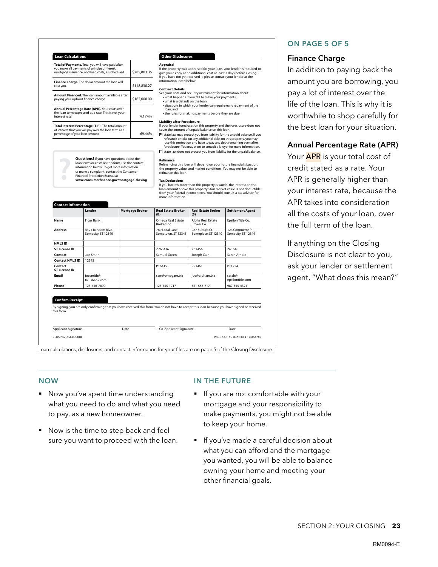| <b>Loan Calculations</b>                                  |                                                                                                                                                         |                        |              |                                      |                                                                                                                                          |                                                                                                                                                     |                          |
|-----------------------------------------------------------|---------------------------------------------------------------------------------------------------------------------------------------------------------|------------------------|--------------|--------------------------------------|------------------------------------------------------------------------------------------------------------------------------------------|-----------------------------------------------------------------------------------------------------------------------------------------------------|--------------------------|
|                                                           |                                                                                                                                                         |                        |              | <b>Other Disclosures</b>             |                                                                                                                                          |                                                                                                                                                     | <b>Finance Charge</b>    |
|                                                           | Total of Payments. Total you will have paid after<br>you make all payments of principal, interest,<br>mortgage insurance, and loan costs, as scheduled. |                        | \$285,803.36 | <b>Appraisal</b>                     | give you a copy at no additional cost at least 3 days before closing.                                                                    | If the property was appraised for your loan, your lender is required to                                                                             | In addition to payin     |
| cost you.                                                 | Finance Charge. The dollar amount the loan will                                                                                                         |                        | \$118,830.27 | information listed below.            | If you have not yet received it, please contact your lender at the                                                                       |                                                                                                                                                     | amount you are bo        |
|                                                           | Amount Financed. The loan amount available after                                                                                                        |                        | \$162,000.00 | <b>Contract Details</b>              | See your note and security instrument for information about<br>• what happens if you fail to make your payments,                         |                                                                                                                                                     | pay a lot of interest    |
| paying your upfront finance charge.                       | Annual Percentage Rate (APR). Your costs over                                                                                                           |                        |              | • what is a default on the loan,     | · situations in which your lender can require early repayment of the                                                                     |                                                                                                                                                     | life of the loan. This   |
| interest rate.                                            | the loan term expressed as a rate. This is not your                                                                                                     |                        | 4.174%       | loan, and                            | • the rules for making payments before they are due.                                                                                     |                                                                                                                                                     | worthwhile to shop       |
|                                                           | Total Interest Percentage (TIP). The total amount<br>of interest that you will pay over the loan term as a                                              |                        |              | <b>Liability after Foreclosure</b>   | cover the amount of unpaid balance on this loan,                                                                                         | If your lender forecloses on this property and the foreclosure does not                                                                             | the best loan for yo     |
| percentage of your loan amount.                           |                                                                                                                                                         |                        | 69.46%       |                                      | refinance or take on any additional debt on this property, you may<br>lose this protection and have to pay any debt remaining even after | State law may protect you from liability for the unpaid balance. If you                                                                             | <b>Annual Percentage</b> |
|                                                           |                                                                                                                                                         |                        |              |                                      |                                                                                                                                          | foreclosure. You may want to consult a lawyer for more information.<br>$\Box$ state law does not protect you from liability for the unpaid balance. |                          |
|                                                           | <b>Questions?</b> If you have questions about the                                                                                                       |                        |              | Refinance                            | Refinancing this loan will depend on your future financial situation,                                                                    |                                                                                                                                                     | Your APR is your to      |
|                                                           |                                                                                                                                                         |                        |              |                                      |                                                                                                                                          |                                                                                                                                                     |                          |
|                                                           | loan terms or costs on this form, use the contact<br>information below. To get more information<br>or make a complaint, contact the Consumer            |                        |              | refinance this loan.                 | the property value, and market conditions. You may not be able to                                                                        |                                                                                                                                                     | credit stated as a ra    |
|                                                           | <b>Financial Protection Bureau at</b><br>www.consumerfinance.gov/mortgage-closing                                                                       |                        |              | <b>Tax Deductions</b>                |                                                                                                                                          |                                                                                                                                                     | APR is generally hig     |
|                                                           |                                                                                                                                                         |                        |              |                                      | If you borrow more than this property is worth, the interest on the                                                                      | loan amount above this property's fair market value is not deductible<br>from your federal income taxes. You should consult a tax advisor for       | your interest rate, b    |
|                                                           |                                                                                                                                                         |                        |              | more information.                    |                                                                                                                                          |                                                                                                                                                     | APR takes into con       |
| <b>Contact Information</b>                                | Lender                                                                                                                                                  | <b>Mortgage Broker</b> |              | <b>Real Estate Broker</b><br>(B)     | <b>Real Estate Broker</b><br>(S)                                                                                                         | <b>Settlement Agent</b>                                                                                                                             |                          |
| Name                                                      | <b>Ficus Bank</b>                                                                                                                                       |                        |              | Omega Real Estate<br>Broker Inc.     | Alpha Real Estate<br>Broker Co.                                                                                                          | Epsilon Title Co.                                                                                                                                   | all the costs of you     |
| Address                                                   | 4321 Random Blvd.<br>Somecity, ST 12340                                                                                                                 |                        |              | 789 Local Lane<br>Sometown, ST 12345 | 987 Suburb Ct.<br>Someplace, ST 12340                                                                                                    | 123 Commerce Pl.<br>Somecity, ST 12344                                                                                                              | the full term of the     |
| <b>NMLS ID</b>                                            |                                                                                                                                                         |                        |              |                                      |                                                                                                                                          |                                                                                                                                                     |                          |
| <b>ST License ID</b>                                      |                                                                                                                                                         |                        |              | Z765416                              | Z61456                                                                                                                                   | Z61616                                                                                                                                              | If anything on the O     |
| Contact                                                   | Joe Smith                                                                                                                                               |                        |              | Samuel Green                         | Joseph Cain                                                                                                                              | Sarah Arnold                                                                                                                                        | Disclosure is not cl     |
|                                                           | 12345                                                                                                                                                   |                        |              |                                      |                                                                                                                                          |                                                                                                                                                     |                          |
| <b>Contact NMLS ID</b><br>Contact<br><b>ST License ID</b> |                                                                                                                                                         |                        |              | P16415                               | P51461                                                                                                                                   | PT1234                                                                                                                                              | ask your lender or       |
| Email                                                     | joesmith@<br>ficusbank.com                                                                                                                              |                        |              | sam@omegare.biz                      | joe@alphare.biz                                                                                                                          | sarah@<br>epsilontitle.com                                                                                                                          | agent, "What does        |

[CLOSING DISCLOSURE PAGE 5 OF 5 • LOAN ID # 123456789](http://files.consumerfinance.gov/f/201311_cfpb_kbyo_closing-disclosure.pdf#page=5) Loan calculations, disclosures, and contact information for your fles are on page 5 of the Closing Disclosure.

- Now you've spent time understanding what you need to do and what you need to pay, as a new homeowner.
- Now is the time to step back and feel sure you want to proceed with the loan.

#### **NOW IN THE FUTURE**

- § If you are not comfortable with your mortgage and your responsibility to make payments, you might not be able to keep your home.
- **•** If you've made a careful decision about what you can afford and the mortgage you wanted, you will be able to balance owning your home and meeting your other fnancial goals.

## **ON PAGE 5 OF 5**

ıg back the rrowing, you over the is why it is carefully for our situation.

#### **e Rate (APR)**

tal cost of ate. Your gher than pecause the sideration r loan, over loan.

Closing lear to you, settlement this mean?"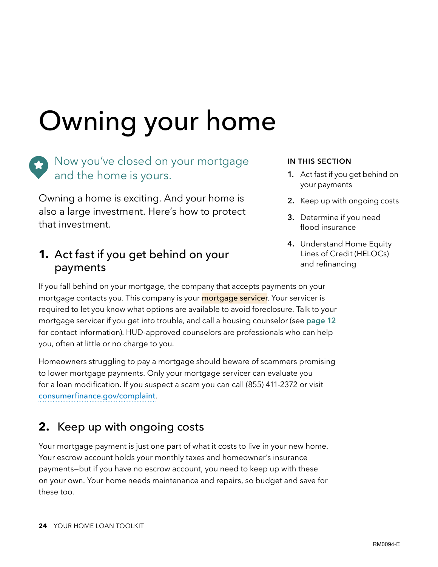# <span id="page-25-0"></span>Owning your home

## Now you've closed on your mortgage and the home is yours.

Owning a home is exciting. And your home is also a large investment. Here's how to protect that investment.

## **1.** Act fast if you get behind on your payments

## If you fall behind on your mortgage, the company that accepts payments on your mortgage contacts you. This company is your **mortgage servicer**. Your servicer is required to let you know what options are available to avoid foreclosure. Talk to your mortgage servicer if you get into trouble, and call a housing counselor (see **page 12** for contact information). HUD-approved counselors are professionals who can help you, often at little or no charge to you.

Homeowners struggling to pay a mortgage should beware of scammers promising to lower mortgage payments. Only your mortgage servicer can evaluate you for a loan modifcation. If you suspect a scam you can call (855) 411-2372 or visit consumerfinance.gov/complaint.

# **2.** Keep up with ongoing costs

Your mortgage payment is just one part of what it costs to live in your new home. Your escrow account holds your monthly taxes and homeowner's insurance payments—but if you have no escrow account, you need to keep up with these on your own. Your home needs maintenance and repairs, so budget and save for these too.

#### **IN THIS SECTION**

- **1.** Act fast if you get behind on your payments
- **2.** Keep up with ongoing costs
- **3.** Determine if you need flood insurance
- **4.** Understand Home Equity Lines of Credit (HELOCs) and refinancing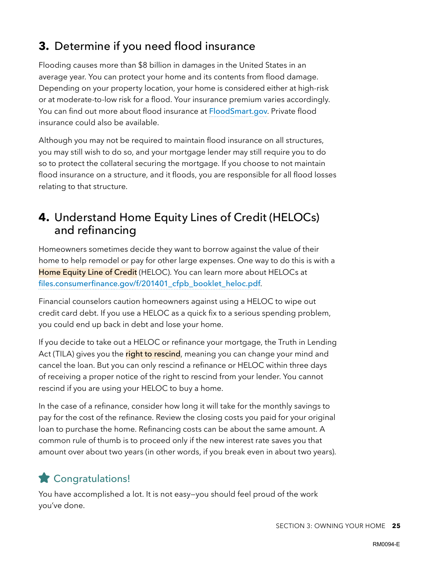# **3.** Determine if you need flood insurance

Flooding causes more than \$8 billion in damages in the United States in an average year. You can protect your home and its contents from flood damage. Depending on your property location, your home is considered either at high-risk or at moderate-to-low risk for a flood. Your insurance premium varies accordingly. You can find out more about flood insurance at [FloodSmart.gov](http://FloodSmart.gov). Private flood insurance could also be available.

Although you may not be required to maintain food insurance on all structures, you may still wish to do so, and your mortgage lender may still require you to do so to protect the collateral securing the mortgage. If you choose to not maintain flood insurance on a structure, and it floods, you are responsible for all flood losses relating to that structure.

## **4.** Understand Home Equity Lines of Credit (HELOCs) and refinancing

Homeowners sometimes decide they want to borrow against the value of their home to help remodel or pay for other large expenses. One way to do this is with a Home Equity Line of Credit (HELOC). You can learn more about HELOCs at [fles.consumerfnance.gov/f/201401\\_cfpb\\_booklet\\_heloc.pdf](http://files.consumerfinance.gov/f/201401_cfpb_booklet_heloc.pdf?utm_source=online&utm_medium=booklet&utm_term=p_25_1&utm_campaign=Your_home_loan_toolkit).

Financial counselors caution homeowners against using a HELOC to wipe out credit card debt. If you use a HELOC as a quick fix to a serious spending problem, you could end up back in debt and lose your home.

If you decide to take out a HELOC or refnance your mortgage, the Truth in Lending Act (TILA) gives you the right to rescind, meaning you can change your mind and cancel the loan. But you can only rescind a refnance or HELOC within three days of receiving a proper notice of the right to rescind from your lender. You cannot rescind if you are using your HELOC to buy a home.

In the case of a refnance, consider how long it will take for the monthly savings to pay for the cost of the refnance. Review the closing costs you paid for your original loan to purchase the home. Refinancing costs can be about the same amount. A common rule of thumb is to proceed only if the new interest rate saves you that amount over about two years (in other words, if you break even in about two years).

# **Congratulations!**

You have accomplished a lot. It is not easy—you should feel proud of the work you've done.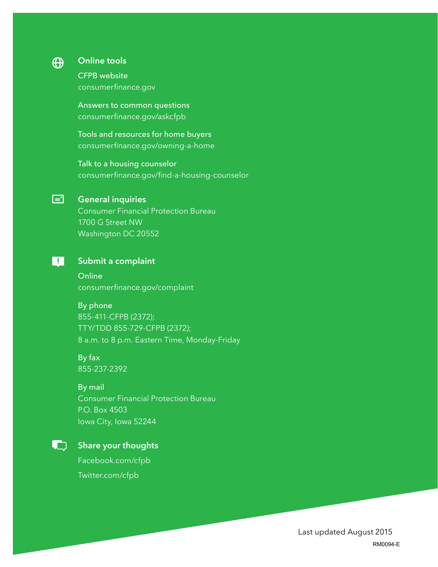

### **(A)** Online tools

CFPB website consumerfinance.gov

 Answers to common questions consumerfinance.gov/askcfpb

Tools and resources for home buyers consumerfinance.gov/owning-a-home

Talk to a housing counselor consumerfinance.gov/find-a-housing-counselor



#### & **General inquiries**

Consumer Financial Protection Bureau 1700 G Street NW Washington DC 20552



#### **Alleger Submit a complaint**

**Online** consumerfinance.gov/complaint

 By phone 855-411-CFPB (2372);

TTY/TDD 855-729-CFPB (2372); 8 a.m. to 8 p.m. Eastern Time, Monday-Friday

#### By fax

855-237-2392

#### By mail

Consumer Financial Protection Bureau P.O. Box 4503 Iowa City, Iowa 52244



#### **Example 3 Share your thoughts**

[Facebook.com/cfpb](https://www.facebook.com/CFPB) [Twitter.com/cfpb](https://twitter.com/cfpb)

> Last updated August 2015 RM0094-E